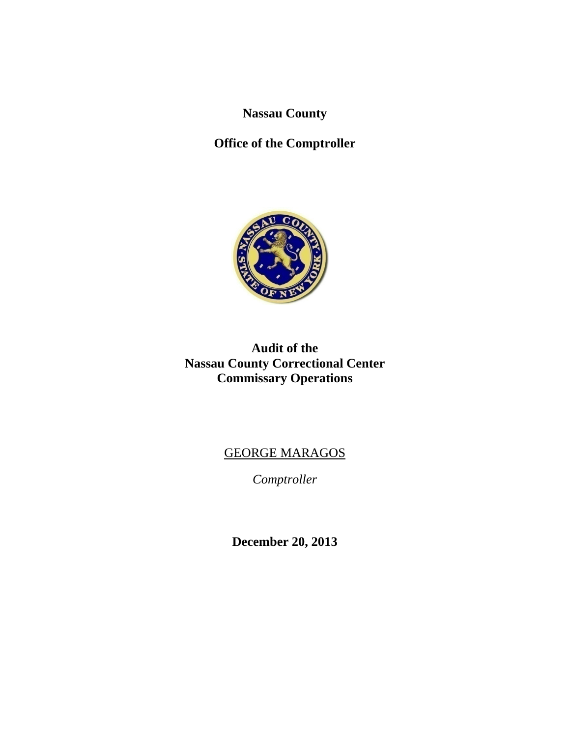**Nassau County** 

# **Office of the Comptroller**



## **Audit of the Nassau County Correctional Center Commissary Operations**

# GEORGE MARAGOS

*Comptroller* 

**December 20, 2013**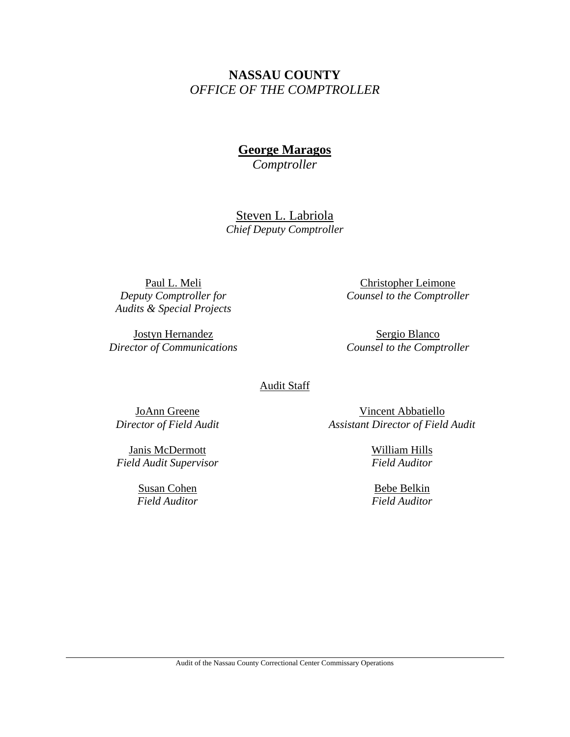## **NASSAU COUNTY**  *OFFICE OF THE COMPTROLLER*

**George Maragos** 

*Comptroller* 

Steven L. Labriola *Chief Deputy Comptroller* 

Paul L. Meli *Deputy Comptroller for Audits & Special Projects* 

Jostyn Hernandez *Director of Communications* 

Christopher Leimone *Counsel to the Comptroller*

Sergio Blanco *Counsel to the Comptroller*

Audit Staff

JoAnn Greene *Director of Field Audit* 

Janis McDermott *Field Audit Supervisor*

> Susan Cohen *Field Auditor*

Vincent Abbatiello *Assistant Director of Field Audit* 

> William Hills *Field Auditor*

Bebe Belkin *Field Auditor*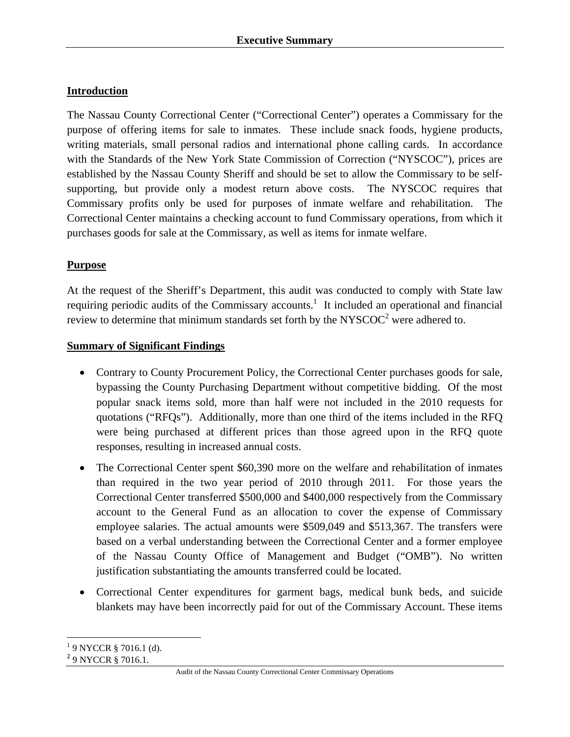## **Introduction**

The Nassau County Correctional Center ("Correctional Center") operates a Commissary for the purpose of offering items for sale to inmates. These include snack foods, hygiene products, writing materials, small personal radios and international phone calling cards. In accordance with the Standards of the New York State Commission of Correction ("NYSCOC"), prices are established by the Nassau County Sheriff and should be set to allow the Commissary to be selfsupporting, but provide only a modest return above costs. The NYSCOC requires that Commissary profits only be used for purposes of inmate welfare and rehabilitation. The Correctional Center maintains a checking account to fund Commissary operations, from which it purchases goods for sale at the Commissary, as well as items for inmate welfare.

## **Purpose**

At the request of the Sheriff's Department, this audit was conducted to comply with State law requiring periodic audits of the Commissary accounts.<sup>1</sup> It included an operational and financial review to determine that minimum standards set forth by the NYSCOC<sup>2</sup> were adhered to.

#### **Summary of Significant Findings**

- Contrary to County Procurement Policy, the Correctional Center purchases goods for sale, bypassing the County Purchasing Department without competitive bidding. Of the most popular snack items sold, more than half were not included in the 2010 requests for quotations ("RFQs"). Additionally, more than one third of the items included in the RFQ were being purchased at different prices than those agreed upon in the RFQ quote responses, resulting in increased annual costs.
- The Correctional Center spent \$60,390 more on the welfare and rehabilitation of inmates than required in the two year period of 2010 through 2011. For those years the Correctional Center transferred \$500,000 and \$400,000 respectively from the Commissary account to the General Fund as an allocation to cover the expense of Commissary employee salaries. The actual amounts were \$509,049 and \$513,367. The transfers were based on a verbal understanding between the Correctional Center and a former employee of the Nassau County Office of Management and Budget ("OMB"). No written justification substantiating the amounts transferred could be located.
- Correctional Center expenditures for garment bags, medical bunk beds, and suicide blankets may have been incorrectly paid for out of the Commissary Account. These items

 $\overline{a}$  $19$  NYCCR § 7016.1 (d).

<sup>&</sup>lt;sup>2</sup> 9 NYCCR § 7016.1.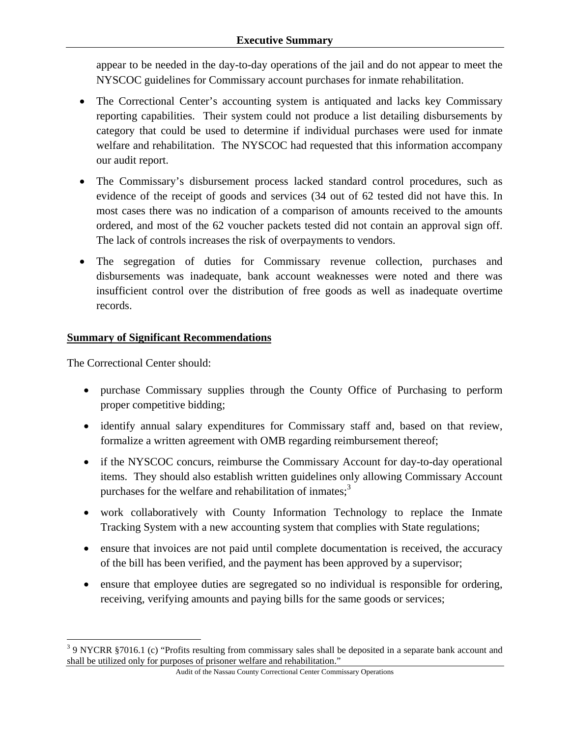appear to be needed in the day-to-day operations of the jail and do not appear to meet the NYSCOC guidelines for Commissary account purchases for inmate rehabilitation.

- The Correctional Center's accounting system is antiquated and lacks key Commissary reporting capabilities. Their system could not produce a list detailing disbursements by category that could be used to determine if individual purchases were used for inmate welfare and rehabilitation. The NYSCOC had requested that this information accompany our audit report.
- The Commissary's disbursement process lacked standard control procedures, such as evidence of the receipt of goods and services (34 out of 62 tested did not have this. In most cases there was no indication of a comparison of amounts received to the amounts ordered, and most of the 62 voucher packets tested did not contain an approval sign off. The lack of controls increases the risk of overpayments to vendors.
- The segregation of duties for Commissary revenue collection, purchases and disbursements was inadequate, bank account weaknesses were noted and there was insufficient control over the distribution of free goods as well as inadequate overtime records.

## **Summary of Significant Recommendations**

The Correctional Center should:

<u>.</u>

- purchase Commissary supplies through the County Office of Purchasing to perform proper competitive bidding;
- identify annual salary expenditures for Commissary staff and, based on that review, formalize a written agreement with OMB regarding reimbursement thereof;
- if the NYSCOC concurs, reimburse the Commissary Account for day-to-day operational items. They should also establish written guidelines only allowing Commissary Account purchases for the welfare and rehabilitation of inmates; $3$
- work collaboratively with County Information Technology to replace the Inmate Tracking System with a new accounting system that complies with State regulations;
- ensure that invoices are not paid until complete documentation is received, the accuracy of the bill has been verified, and the payment has been approved by a supervisor;
- ensure that employee duties are segregated so no individual is responsible for ordering, receiving, verifying amounts and paying bills for the same goods or services;

 $3.9$  NYCRR §7016.1 (c) "Profits resulting from commissary sales shall be deposited in a separate bank account and shall be utilized only for purposes of prisoner welfare and rehabilitation."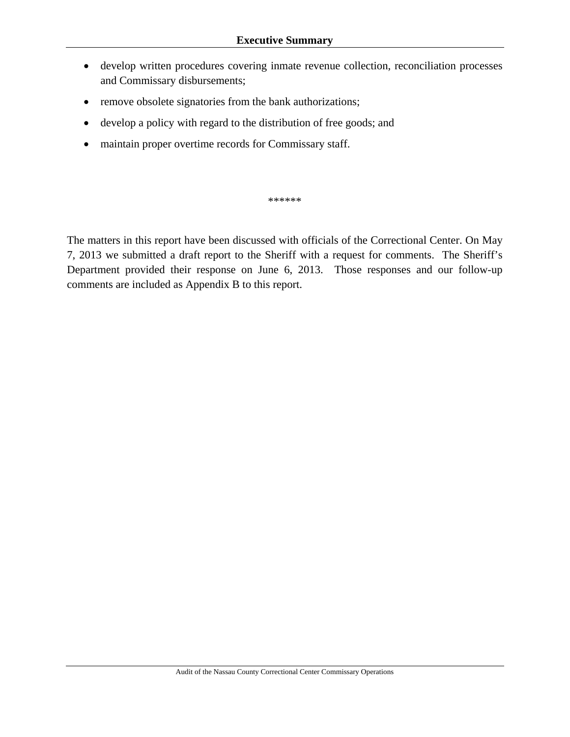- develop written procedures covering inmate revenue collection, reconciliation processes and Commissary disbursements;
- remove obsolete signatories from the bank authorizations;
- develop a policy with regard to the distribution of free goods; and
- maintain proper overtime records for Commissary staff.

\*\*\*\*\*\*

The matters in this report have been discussed with officials of the Correctional Center. On May 7, 2013 we submitted a draft report to the Sheriff with a request for comments. The Sheriff's Department provided their response on June 6, 2013. Those responses and our follow-up comments are included as Appendix B to this report.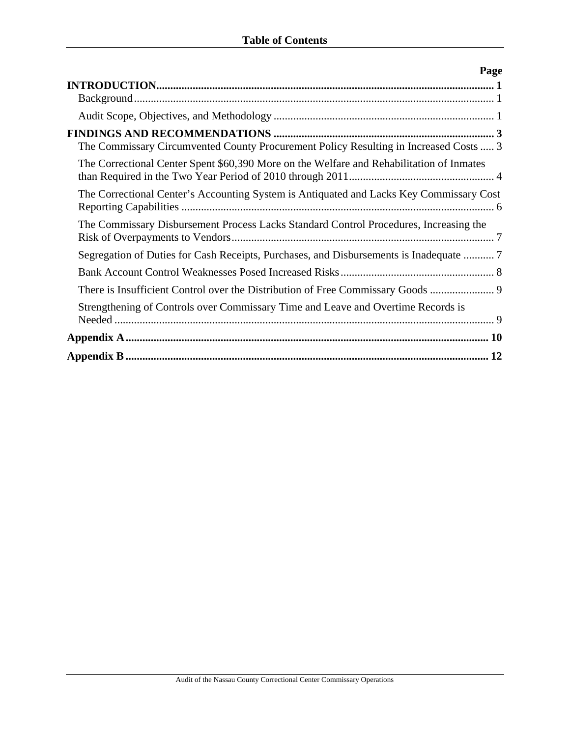| Page                                                                                     |
|------------------------------------------------------------------------------------------|
|                                                                                          |
|                                                                                          |
| The Commissary Circumvented County Procurement Policy Resulting in Increased Costs  3    |
| The Correctional Center Spent \$60,390 More on the Welfare and Rehabilitation of Inmates |
| The Correctional Center's Accounting System is Antiquated and Lacks Key Commissary Cost  |
| The Commissary Disbursement Process Lacks Standard Control Procedures, Increasing the    |
| Segregation of Duties for Cash Receipts, Purchases, and Disbursements is Inadequate      |
|                                                                                          |
| There is Insufficient Control over the Distribution of Free Commissary Goods             |
| Strengthening of Controls over Commissary Time and Leave and Overtime Records is         |
|                                                                                          |
|                                                                                          |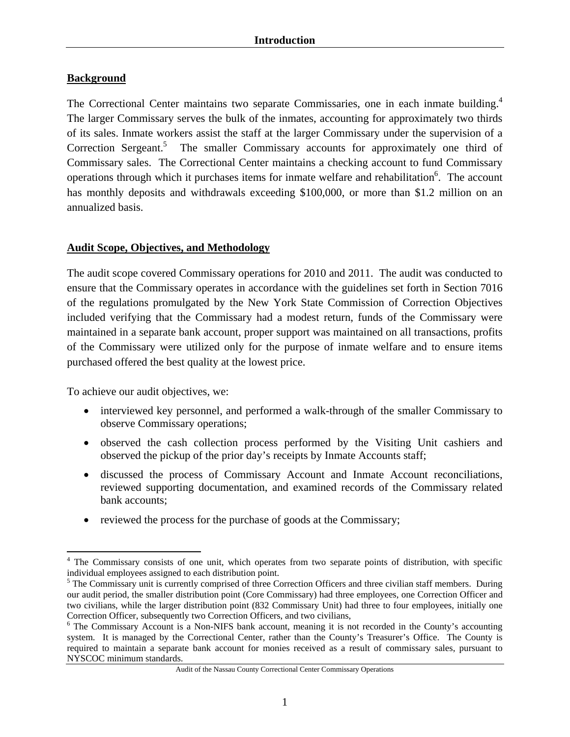## **Background**

The Correctional Center maintains two separate Commissaries, one in each inmate building.<sup>4</sup> The larger Commissary serves the bulk of the inmates, accounting for approximately two thirds of its sales. Inmate workers assist the staff at the larger Commissary under the supervision of a Correction Sergeant.<sup>5</sup> The smaller Commissary accounts for approximately one third of Commissary sales. The Correctional Center maintains a checking account to fund Commissary operations through which it purchases items for inmate welfare and rehabilitation<sup>6</sup>. The account has monthly deposits and withdrawals exceeding \$100,000, or more than \$1.2 million on an annualized basis.

#### **Audit Scope, Objectives, and Methodology**

The audit scope covered Commissary operations for 2010 and 2011. The audit was conducted to ensure that the Commissary operates in accordance with the guidelines set forth in Section 7016 of the regulations promulgated by the New York State Commission of Correction Objectives included verifying that the Commissary had a modest return, funds of the Commissary were maintained in a separate bank account, proper support was maintained on all transactions, profits of the Commissary were utilized only for the purpose of inmate welfare and to ensure items purchased offered the best quality at the lowest price.

To achieve our audit objectives, we:

- interviewed key personnel, and performed a walk-through of the smaller Commissary to observe Commissary operations;
- observed the cash collection process performed by the Visiting Unit cashiers and observed the pickup of the prior day's receipts by Inmate Accounts staff;
- discussed the process of Commissary Account and Inmate Account reconciliations, reviewed supporting documentation, and examined records of the Commissary related bank accounts;
- reviewed the process for the purchase of goods at the Commissary;

 $\overline{a}$ <sup>4</sup> The Commissary consists of one unit, which operates from two separate points of distribution, with specific individual employees assigned to each distribution point. 5

 $5$  The Commissary unit is currently comprised of three Correction Officers and three civilian staff members. During our audit period, the smaller distribution point (Core Commissary) had three employees, one Correction Officer and two civilians, while the larger distribution point (832 Commissary Unit) had three to four employees, initially one Correction Officer, subsequently two Correction Officers, and two civilians, 6

<sup>&</sup>lt;sup>6</sup> The Commissary Account is a Non-NIFS bank account, meaning it is not recorded in the County's accounting system. It is managed by the Correctional Center, rather than the County's Treasurer's Office. The County is required to maintain a separate bank account for monies received as a result of commissary sales, pursuant to NYSCOC minimum standards.

Audit of the Nassau County Correctional Center Commissary Operations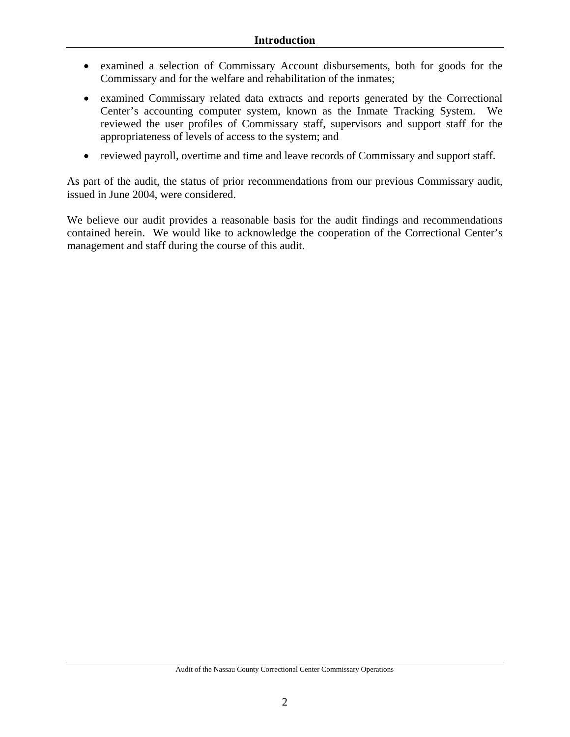- examined a selection of Commissary Account disbursements, both for goods for the Commissary and for the welfare and rehabilitation of the inmates;
- examined Commissary related data extracts and reports generated by the Correctional Center's accounting computer system, known as the Inmate Tracking System. We reviewed the user profiles of Commissary staff, supervisors and support staff for the appropriateness of levels of access to the system; and
- reviewed payroll, overtime and time and leave records of Commissary and support staff.

As part of the audit, the status of prior recommendations from our previous Commissary audit, issued in June 2004, were considered.

We believe our audit provides a reasonable basis for the audit findings and recommendations contained herein. We would like to acknowledge the cooperation of the Correctional Center's management and staff during the course of this audit.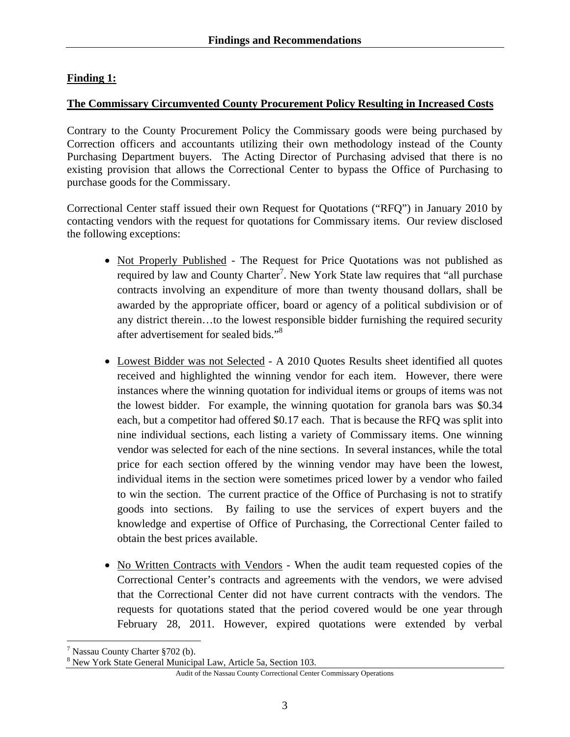## **Finding 1:**

#### **The Commissary Circumvented County Procurement Policy Resulting in Increased Costs**

Contrary to the County Procurement Policy the Commissary goods were being purchased by Correction officers and accountants utilizing their own methodology instead of the County Purchasing Department buyers. The Acting Director of Purchasing advised that there is no existing provision that allows the Correctional Center to bypass the Office of Purchasing to purchase goods for the Commissary.

Correctional Center staff issued their own Request for Quotations ("RFQ") in January 2010 by contacting vendors with the request for quotations for Commissary items. Our review disclosed the following exceptions:

- Not Properly Published The Request for Price Quotations was not published as required by law and County Charter<sup>7</sup>. New York State law requires that "all purchase" contracts involving an expenditure of more than twenty thousand dollars, shall be awarded by the appropriate officer, board or agency of a political subdivision or of any district therein…to the lowest responsible bidder furnishing the required security after advertisement for sealed bids."<sup>8</sup>
- Lowest Bidder was not Selected A 2010 Quotes Results sheet identified all quotes received and highlighted the winning vendor for each item. However, there were instances where the winning quotation for individual items or groups of items was not the lowest bidder. For example, the winning quotation for granola bars was \$0.34 each, but a competitor had offered \$0.17 each. That is because the RFQ was split into nine individual sections, each listing a variety of Commissary items. One winning vendor was selected for each of the nine sections. In several instances, while the total price for each section offered by the winning vendor may have been the lowest, individual items in the section were sometimes priced lower by a vendor who failed to win the section. The current practice of the Office of Purchasing is not to stratify goods into sections. By failing to use the services of expert buyers and the knowledge and expertise of Office of Purchasing, the Correctional Center failed to obtain the best prices available.
- No Written Contracts with Vendors When the audit team requested copies of the Correctional Center's contracts and agreements with the vendors, we were advised that the Correctional Center did not have current contracts with the vendors. The requests for quotations stated that the period covered would be one year through February 28, 2011. However, expired quotations were extended by verbal

 $\overline{a}$ 

Audit of the Nassau County Correctional Center Commissary Operations

<sup>&</sup>lt;sup>7</sup> Nassau County Charter §702 (b).

<sup>&</sup>lt;sup>8</sup> New York State General Municipal Law, Article 5a, Section 103.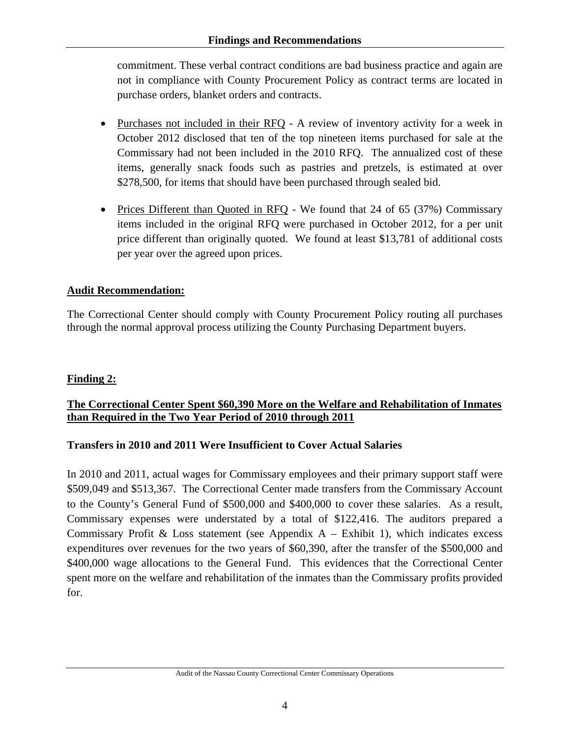commitment. These verbal contract conditions are bad business practice and again are not in compliance with County Procurement Policy as contract terms are located in purchase orders, blanket orders and contracts.

- Purchases not included in their RFQ A review of inventory activity for a week in October 2012 disclosed that ten of the top nineteen items purchased for sale at the Commissary had not been included in the 2010 RFQ. The annualized cost of these items, generally snack foods such as pastries and pretzels, is estimated at over \$278,500, for items that should have been purchased through sealed bid.
- Prices Different than Quoted in RFQ We found that 24 of 65 (37%) Commissary items included in the original RFQ were purchased in October 2012, for a per unit price different than originally quoted. We found at least \$13,781 of additional costs per year over the agreed upon prices.

## **Audit Recommendation:**

The Correctional Center should comply with County Procurement Policy routing all purchases through the normal approval process utilizing the County Purchasing Department buyers.

## **Finding 2:**

## **The Correctional Center Spent \$60,390 More on the Welfare and Rehabilitation of Inmates than Required in the Two Year Period of 2010 through 2011**

#### **Transfers in 2010 and 2011 Were Insufficient to Cover Actual Salaries**

In 2010 and 2011, actual wages for Commissary employees and their primary support staff were \$509,049 and \$513,367. The Correctional Center made transfers from the Commissary Account to the County's General Fund of \$500,000 and \$400,000 to cover these salaries. As a result, Commissary expenses were understated by a total of \$122,416. The auditors prepared a Commissary Profit & Loss statement (see Appendix  $A -$  Exhibit 1), which indicates excess expenditures over revenues for the two years of \$60,390, after the transfer of the \$500,000 and \$400,000 wage allocations to the General Fund. This evidences that the Correctional Center spent more on the welfare and rehabilitation of the inmates than the Commissary profits provided for.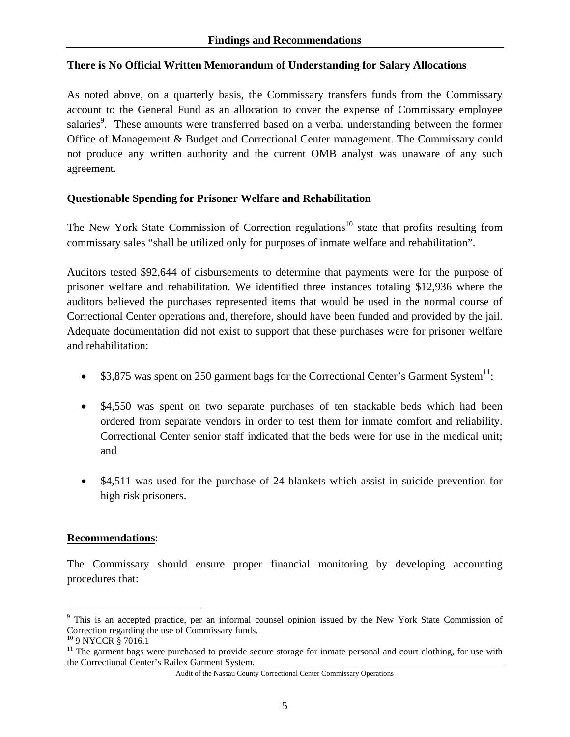#### **There is No Official Written Memorandum of Understanding for Salary Allocations**

As noted above, on a quarterly basis, the Commissary transfers funds from the Commissary account to the General Fund as an allocation to cover the expense of Commissary employee salaries<sup>9</sup>. These amounts were transferred based on a verbal understanding between the former Office of Management & Budget and Correctional Center management. The Commissary could not produce any written authority and the current OMB analyst was unaware of any such agreement.

#### **Questionable Spending for Prisoner Welfare and Rehabilitation**

The New York State Commission of Correction regulations<sup>10</sup> state that profits resulting from commissary sales "shall be utilized only for purposes of inmate welfare and rehabilitation".

Auditors tested \$92,644 of disbursements to determine that payments were for the purpose of prisoner welfare and rehabilitation. We identified three instances totaling \$12,936 where the auditors believed the purchases represented items that would be used in the normal course of Correctional Center operations and, therefore, should have been funded and provided by the jail. Adequate documentation did not exist to support that these purchases were for prisoner welfare and rehabilitation:

- \$3,875 was spent on 250 garment bags for the Correctional Center's Garment System<sup>11</sup>;
- \$4,550 was spent on two separate purchases of ten stackable beds which had been ordered from separate vendors in order to test them for inmate comfort and reliability. Correctional Center senior staff indicated that the beds were for use in the medical unit; and
- \$4,511 was used for the purchase of 24 blankets which assist in suicide prevention for high risk prisoners.

#### **Recommendations**:

The Commissary should ensure proper financial monitoring by developing accounting procedures that:

 $\overline{a}$ 

<sup>&</sup>lt;sup>9</sup> This is an accepted practice, per an informal counsel opinion issued by the New York State Commission of Correction regarding the use of Commissary funds.

<sup>10 9</sup> NYCCR § 7016.1

 $11$  The garment bags were purchased to provide secure storage for inmate personal and court clothing, for use with the Correctional Center's Railex Garment System.

Audit of the Nassau County Correctional Center Commissary Operations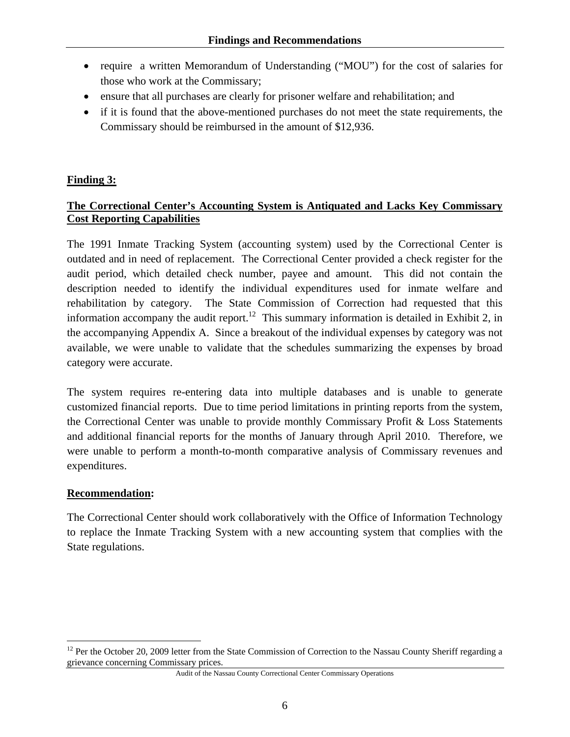- require a written Memorandum of Understanding ("MOU") for the cost of salaries for those who work at the Commissary;
- ensure that all purchases are clearly for prisoner welfare and rehabilitation; and
- if it is found that the above-mentioned purchases do not meet the state requirements, the Commissary should be reimbursed in the amount of \$12,936.

## **Finding 3:**

## **The Correctional Center's Accounting System is Antiquated and Lacks Key Commissary Cost Reporting Capabilities**

The 1991 Inmate Tracking System (accounting system) used by the Correctional Center is outdated and in need of replacement. The Correctional Center provided a check register for the audit period, which detailed check number, payee and amount. This did not contain the description needed to identify the individual expenditures used for inmate welfare and rehabilitation by category. The State Commission of Correction had requested that this information accompany the audit report.<sup>12</sup> This summary information is detailed in Exhibit 2, in the accompanying Appendix A. Since a breakout of the individual expenses by category was not available, we were unable to validate that the schedules summarizing the expenses by broad category were accurate.

The system requires re-entering data into multiple databases and is unable to generate customized financial reports. Due to time period limitations in printing reports from the system, the Correctional Center was unable to provide monthly Commissary Profit & Loss Statements and additional financial reports for the months of January through April 2010. Therefore, we were unable to perform a month-to-month comparative analysis of Commissary revenues and expenditures.

#### **Recommendation:**

 $\overline{a}$ 

The Correctional Center should work collaboratively with the Office of Information Technology to replace the Inmate Tracking System with a new accounting system that complies with the State regulations.

Audit of the Nassau County Correctional Center Commissary Operations

<sup>&</sup>lt;sup>12</sup> Per the October 20, 2009 letter from the State Commission of Correction to the Nassau County Sheriff regarding a grievance concerning Commissary prices.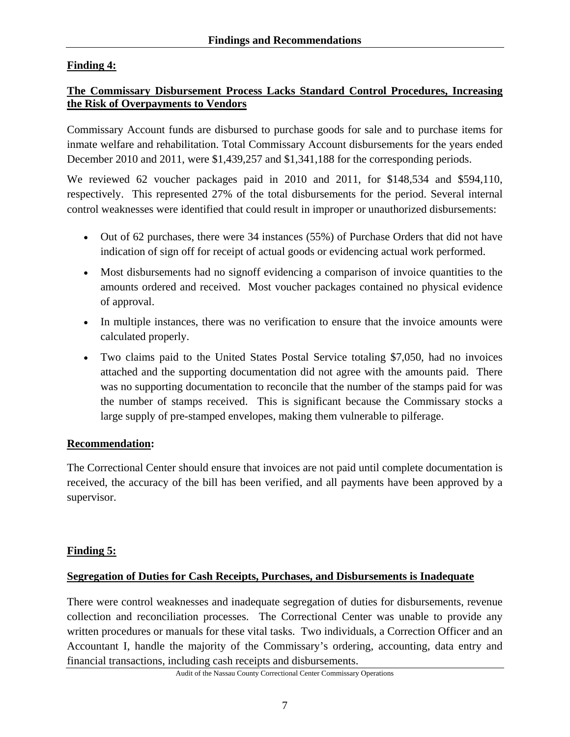## **Finding 4:**

#### **The Commissary Disbursement Process Lacks Standard Control Procedures, Increasing the Risk of Overpayments to Vendors**

Commissary Account funds are disbursed to purchase goods for sale and to purchase items for inmate welfare and rehabilitation. Total Commissary Account disbursements for the years ended December 2010 and 2011, were \$1,439,257 and \$1,341,188 for the corresponding periods.

We reviewed 62 voucher packages paid in 2010 and 2011, for \$148,534 and \$594,110, respectively. This represented 27% of the total disbursements for the period. Several internal control weaknesses were identified that could result in improper or unauthorized disbursements:

- Out of 62 purchases, there were 34 instances (55%) of Purchase Orders that did not have indication of sign off for receipt of actual goods or evidencing actual work performed.
- Most disbursements had no signoff evidencing a comparison of invoice quantities to the amounts ordered and received. Most voucher packages contained no physical evidence of approval.
- In multiple instances, there was no verification to ensure that the invoice amounts were calculated properly.
- Two claims paid to the United States Postal Service totaling \$7,050, had no invoices attached and the supporting documentation did not agree with the amounts paid. There was no supporting documentation to reconcile that the number of the stamps paid for was the number of stamps received. This is significant because the Commissary stocks a large supply of pre-stamped envelopes, making them vulnerable to pilferage.

#### **Recommendation:**

The Correctional Center should ensure that invoices are not paid until complete documentation is received, the accuracy of the bill has been verified, and all payments have been approved by a supervisor.

#### **Finding 5:**

#### **Segregation of Duties for Cash Receipts, Purchases, and Disbursements is Inadequate**

There were control weaknesses and inadequate segregation of duties for disbursements, revenue collection and reconciliation processes. The Correctional Center was unable to provide any written procedures or manuals for these vital tasks. Two individuals, a Correction Officer and an Accountant I, handle the majority of the Commissary's ordering, accounting, data entry and financial transactions, including cash receipts and disbursements.

Audit of the Nassau County Correctional Center Commissary Operations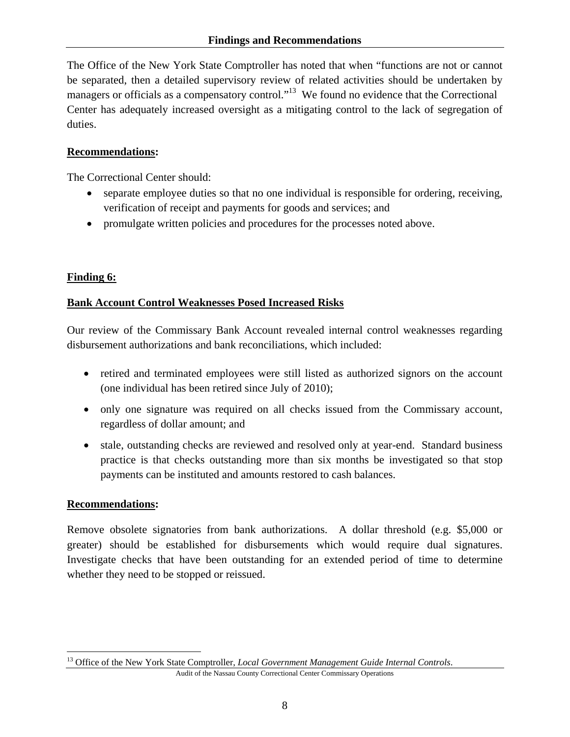The Office of the New York State Comptroller has noted that when "functions are not or cannot be separated, then a detailed supervisory review of related activities should be undertaken by managers or officials as a compensatory control."<sup>13</sup> We found no evidence that the Correctional Center has adequately increased oversight as a mitigating control to the lack of segregation of duties.

## **Recommendations:**

The Correctional Center should:

- separate employee duties so that no one individual is responsible for ordering, receiving, verification of receipt and payments for goods and services; and
- promulgate written policies and procedures for the processes noted above.

## **Finding 6:**

## **Bank Account Control Weaknesses Posed Increased Risks**

Our review of the Commissary Bank Account revealed internal control weaknesses regarding disbursement authorizations and bank reconciliations, which included:

- retired and terminated employees were still listed as authorized signors on the account (one individual has been retired since July of 2010);
- only one signature was required on all checks issued from the Commissary account, regardless of dollar amount; and
- stale, outstanding checks are reviewed and resolved only at year-end. Standard business practice is that checks outstanding more than six months be investigated so that stop payments can be instituted and amounts restored to cash balances.

#### **Recommendations:**

 $\overline{a}$ 

Remove obsolete signatories from bank authorizations. A dollar threshold (e.g. \$5,000 or greater) should be established for disbursements which would require dual signatures. Investigate checks that have been outstanding for an extended period of time to determine whether they need to be stopped or reissued.

Audit of the Nassau County Correctional Center Commissary Operations <sup>13</sup> Office of the New York State Comptroller, *Local Government Management Guide Internal Controls*.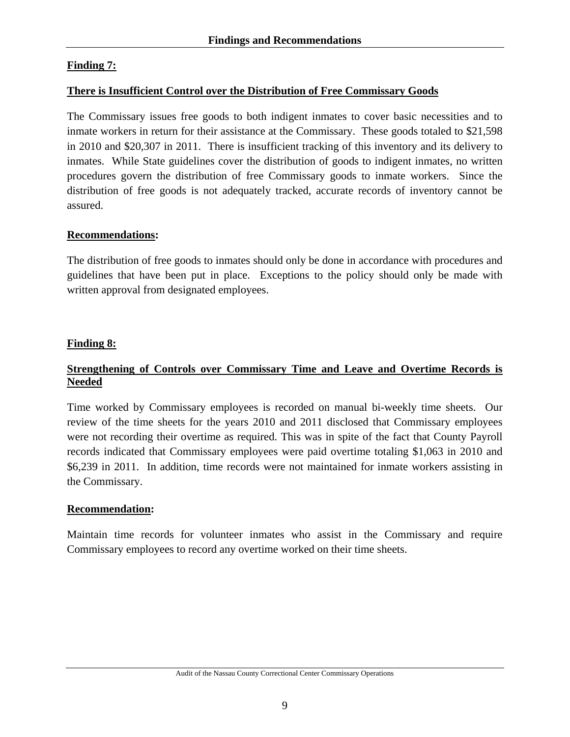## **Finding 7:**

#### **There is Insufficient Control over the Distribution of Free Commissary Goods**

The Commissary issues free goods to both indigent inmates to cover basic necessities and to inmate workers in return for their assistance at the Commissary. These goods totaled to \$21,598 in 2010 and \$20,307 in 2011. There is insufficient tracking of this inventory and its delivery to inmates. While State guidelines cover the distribution of goods to indigent inmates, no written procedures govern the distribution of free Commissary goods to inmate workers. Since the distribution of free goods is not adequately tracked, accurate records of inventory cannot be assured.

#### **Recommendations:**

The distribution of free goods to inmates should only be done in accordance with procedures and guidelines that have been put in place. Exceptions to the policy should only be made with written approval from designated employees.

#### **Finding 8:**

#### **Strengthening of Controls over Commissary Time and Leave and Overtime Records is Needed**

Time worked by Commissary employees is recorded on manual bi-weekly time sheets. Our review of the time sheets for the years 2010 and 2011 disclosed that Commissary employees were not recording their overtime as required. This was in spite of the fact that County Payroll records indicated that Commissary employees were paid overtime totaling \$1,063 in 2010 and \$6,239 in 2011. In addition, time records were not maintained for inmate workers assisting in the Commissary.

#### **Recommendation:**

Maintain time records for volunteer inmates who assist in the Commissary and require Commissary employees to record any overtime worked on their time sheets.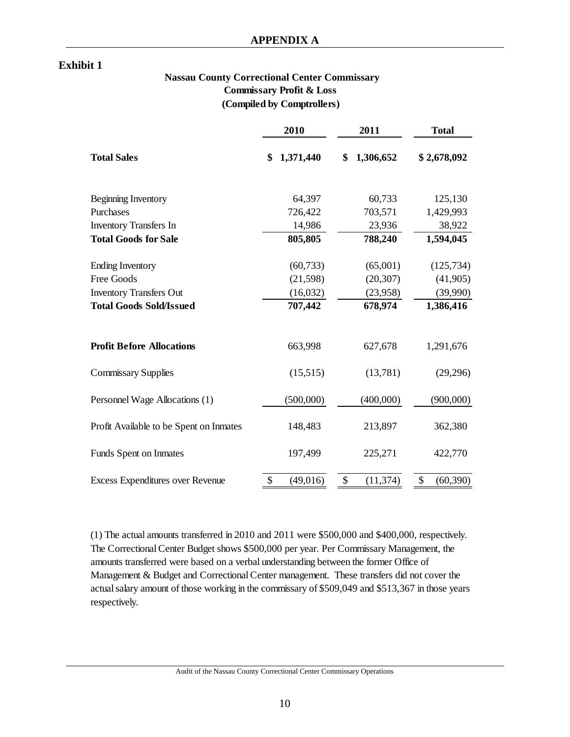#### **Exhibit 1**

#### **Nassau County Correctional Center Commissary Commissary Profit & Loss (Compiled by Comptrollers)**

|                                         | 2010            | 2011            | <b>Total</b>    |
|-----------------------------------------|-----------------|-----------------|-----------------|
| <b>Total Sales</b>                      | 1,371,440<br>\$ | 1,306,652<br>\$ | \$2,678,092     |
| Beginning Inventory                     | 64,397          | 60,733          | 125,130         |
| Purchases                               | 726,422         | 703,571         | 1,429,993       |
| <b>Inventory Transfers In</b>           | 14,986          | 23,936          | 38,922          |
| <b>Total Goods for Sale</b>             | 805,805         | 788,240         | 1,594,045       |
| <b>Ending Inventory</b>                 | (60, 733)       | (65,001)        | (125, 734)      |
| Free Goods                              | (21, 598)       | (20, 307)       | (41,905)        |
| <b>Inventory Transfers Out</b>          | (16,032)        | (23,958)        | (39,990)        |
| <b>Total Goods Sold/Issued</b>          | 707,442         | 678,974         | 1,386,416       |
| <b>Profit Before Allocations</b>        | 663,998         | 627,678         | 1,291,676       |
| <b>Commissary Supplies</b>              | (15,515)        | (13,781)        | (29, 296)       |
| Personnel Wage Allocations (1)          | (500,000)       | (400,000)       | (900,000)       |
| Profit Available to be Spent on Inmates | 148,483         | 213,897         | 362,380         |
| <b>Funds Spent on Inmates</b>           | 197,499         | 225,271         | 422,770         |
| Excess Expenditures over Revenue        | \$<br>(49,016)  | (11, 374)<br>\$ | \$<br>(60, 390) |

(1) The actual amounts transferred in 2010 and 2011 were \$500,000 and \$400,000, respectively. The Correctional Center Budget shows \$500,000 per year. Per Commissary Management, the amounts transferred were based on a verbal understanding between the former Office of Management & Budget and Correctional Center management. These transfers did not cover the actual salary amount of those working in the commissary of \$509,049 and \$513,367 in those years respectively.

Audit of the Nassau County Correctional Center Commissary Operations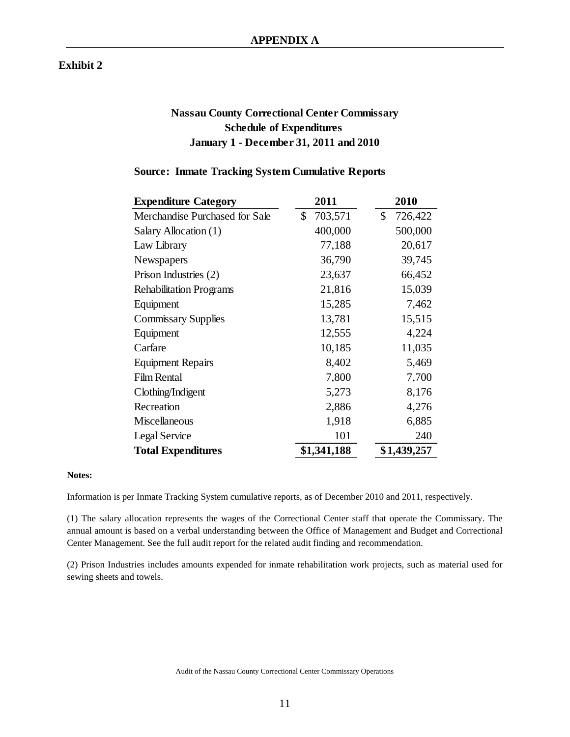#### **Exhibit 2**

## **Nassau County Correctional Center Commissary Schedule of Expenditures January 1 - December 31, 2011 and 2010**

#### **Source: Inmate Tracking System Cumulative Reports**

| <b>Expenditure Category</b>    | 2011          | 2010          |
|--------------------------------|---------------|---------------|
| Merchandise Purchased for Sale | \$<br>703,571 | \$<br>726,422 |
| Salary Allocation (1)          | 400,000       | 500,000       |
| Law Library                    | 77,188        | 20,617        |
| Newspapers                     | 36,790        | 39,745        |
| Prison Industries (2)          | 23,637        | 66,452        |
| <b>Rehabilitation Programs</b> | 21,816        | 15,039        |
| Equipment                      | 15,285        | 7,462         |
| <b>Commissary Supplies</b>     | 13,781        | 15,515        |
| Equipment                      | 12,555        | 4,224         |
| Carfare                        | 10,185        | 11,035        |
| <b>Equipment Repairs</b>       | 8,402         | 5,469         |
| <b>Film Rental</b>             | 7,800         | 7,700         |
| Clothing/Indigent              | 5,273         | 8,176         |
| Recreation                     | 2,886         | 4,276         |
| Miscellaneous                  | 1,918         | 6,885         |
| Legal Service                  | 101           | 240           |
| <b>Total Expenditures</b>      | \$1,341,188   | \$1,439,257   |

#### **Notes:**

Information is per Inmate Tracking System cumulative reports, as of December 2010 and 2011, respectively.

(1) The salary allocation represents the wages of the Correctional Center staff that operate the Commissary. The annual amount is based on a verbal understanding between the Office of Management and Budget and Correctional Center Management. See the full audit report for the related audit finding and recommendation.

(2) Prison Industries includes amounts expended for inmate rehabilitation work projects, such as material used for sewing sheets and towels.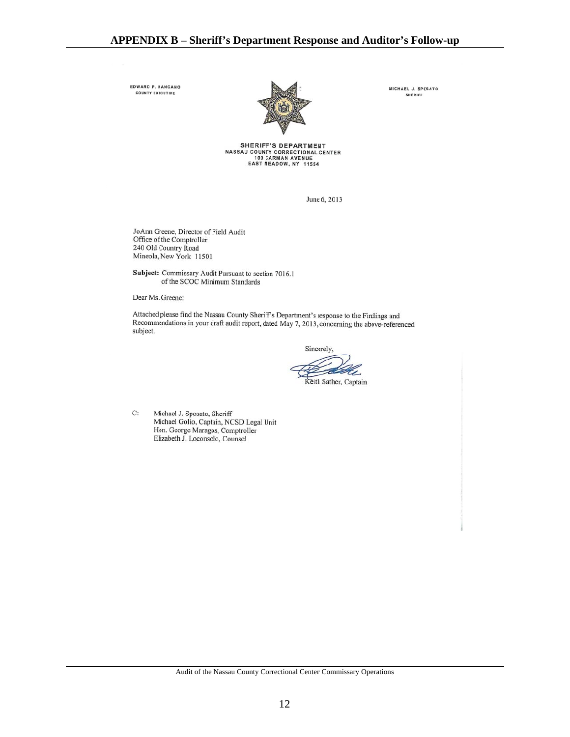EDWARD P. NANGANO COUNTY EXECUTIVE



MICHAEL J. SPOSATO **SHERIFF** 

**SHERIFF'S DEPARTMENT** SAU COUNTY CORRECTIONAL CENTER<br>NASSAU COUNTY CORRECTIONAL CENTER<br>EAST MEADOW, NY 11554

June 6, 2013

JoAnn Greene, Director of Field Audit<br>Office of the Comptroller 240 Old Country Road Mineola, New York 11501

Subject: Commissary Audit Pursuant to section 7016.1 of the SCOC Minimum Standards

Dear Ms. Greene:

Attached please find the Nassau County Sheriff's Department's response to the Findings and Recommendations in your draft audit report, dated May 7, 2013, concerning the above-referenced subject.

Sincerely,

Keith Sather, Captain

 $C:$ Michael J. Sposato, Sheriff Michael Golio, Captain, NCSD Legal Unit Hon. George Maragos, Comptroller Elizabeth J. Loconsolo, Counsel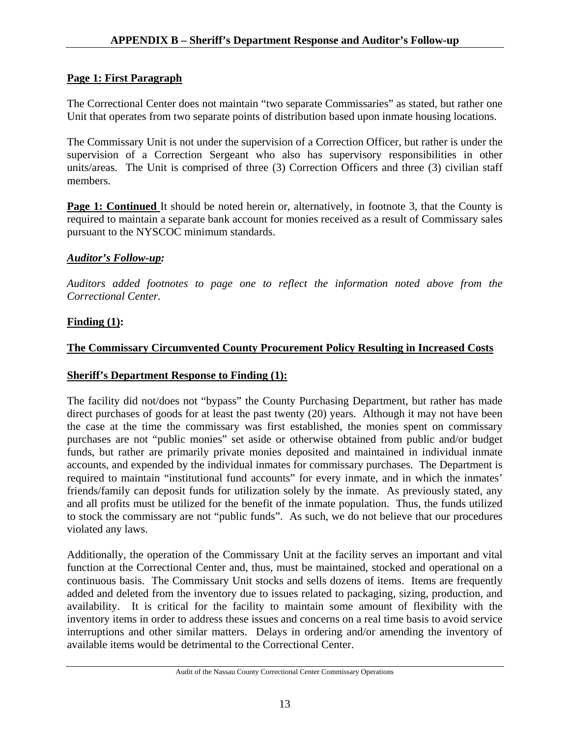## **Page 1: First Paragraph**

The Correctional Center does not maintain "two separate Commissaries" as stated, but rather one Unit that operates from two separate points of distribution based upon inmate housing locations.

The Commissary Unit is not under the supervision of a Correction Officer, but rather is under the supervision of a Correction Sergeant who also has supervisory responsibilities in other units/areas. The Unit is comprised of three (3) Correction Officers and three (3) civilian staff members.

**Page 1: Continued** It should be noted herein or, alternatively, in footnote 3, that the County is required to maintain a separate bank account for monies received as a result of Commissary sales pursuant to the NYSCOC minimum standards.

#### *Auditor's Follow-up:*

*Auditors added footnotes to page one to reflect the information noted above from the Correctional Center.* 

## **Finding (1):**

## **The Commissary Circumvented County Procurement Policy Resulting in Increased Costs**

#### **Sheriff's Department Response to Finding (1):**

The facility did not/does not "bypass" the County Purchasing Department, but rather has made direct purchases of goods for at least the past twenty (20) years. Although it may not have been the case at the time the commissary was first established, the monies spent on commissary purchases are not "public monies" set aside or otherwise obtained from public and/or budget funds, but rather are primarily private monies deposited and maintained in individual inmate accounts, and expended by the individual inmates for commissary purchases. The Department is required to maintain "institutional fund accounts" for every inmate, and in which the inmates' friends/family can deposit funds for utilization solely by the inmate. As previously stated, any and all profits must be utilized for the benefit of the inmate population. Thus, the funds utilized to stock the commissary are not "public funds".As such, we do not believe that our procedures violated any laws.

Additionally, the operation of the Commissary Unit at the facility serves an important and vital function at the Correctional Center and, thus, must be maintained, stocked and operational on a continuous basis. The Commissary Unit stocks and sells dozens of items. Items are frequently added and deleted from the inventory due to issues related to packaging, sizing, production, and availability. It is critical for the facility to maintain some amount of flexibility with the inventory items in order to address these issues and concerns on a real time basis to avoid service interruptions and other similar matters. Delays in ordering and/or amending the inventory of available items would be detrimental to the Correctional Center.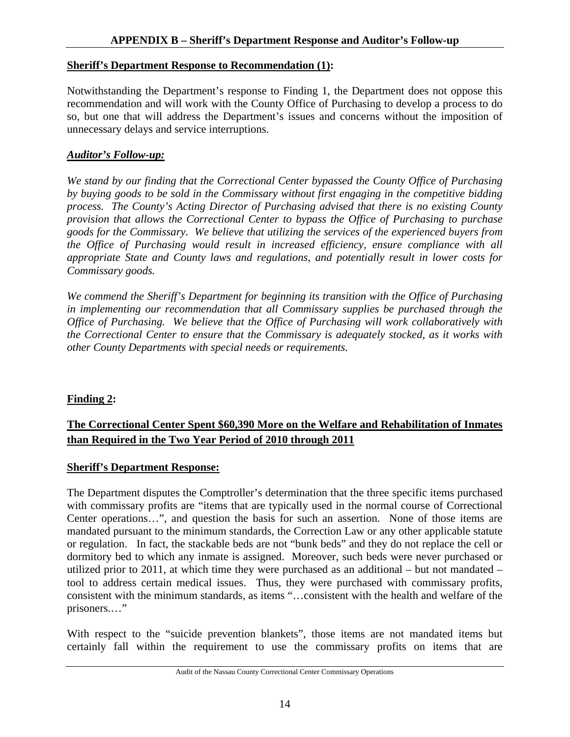#### **Sheriff's Department Response to Recommendation (1):**

Notwithstanding the Department's response to Finding 1, the Department does not oppose this recommendation and will work with the County Office of Purchasing to develop a process to do so, but one that will address the Department's issues and concerns without the imposition of unnecessary delays and service interruptions.

## *Auditor's Follow-up:*

*We stand by our finding that the Correctional Center bypassed the County Office of Purchasing by buying goods to be sold in the Commissary without first engaging in the competitive bidding process. The County's Acting Director of Purchasing advised that there is no existing County provision that allows the Correctional Center to bypass the Office of Purchasing to purchase goods for the Commissary. We believe that utilizing the services of the experienced buyers from the Office of Purchasing would result in increased efficiency, ensure compliance with all appropriate State and County laws and regulations, and potentially result in lower costs for Commissary goods.* 

*We commend the Sheriff's Department for beginning its transition with the Office of Purchasing in implementing our recommendation that all Commissary supplies be purchased through the Office of Purchasing. We believe that the Office of Purchasing will work collaboratively with the Correctional Center to ensure that the Commissary is adequately stocked, as it works with other County Departments with special needs or requirements.* 

## **Finding 2:**

## **The Correctional Center Spent \$60,390 More on the Welfare and Rehabilitation of Inmates than Required in the Two Year Period of 2010 through 2011**

#### **Sheriff's Department Response:**

The Department disputes the Comptroller's determination that the three specific items purchased with commissary profits are "items that are typically used in the normal course of Correctional Center operations…", and question the basis for such an assertion. None of those items are mandated pursuant to the minimum standards, the Correction Law or any other applicable statute or regulation. In fact, the stackable beds are not "bunk beds" and they do not replace the cell or dormitory bed to which any inmate is assigned. Moreover, such beds were never purchased or utilized prior to 2011, at which time they were purchased as an additional – but not mandated – tool to address certain medical issues. Thus, they were purchased with commissary profits, consistent with the minimum standards, as items "…consistent with the health and welfare of the prisoners.…"

With respect to the "suicide prevention blankets", those items are not mandated items but certainly fall within the requirement to use the commissary profits on items that are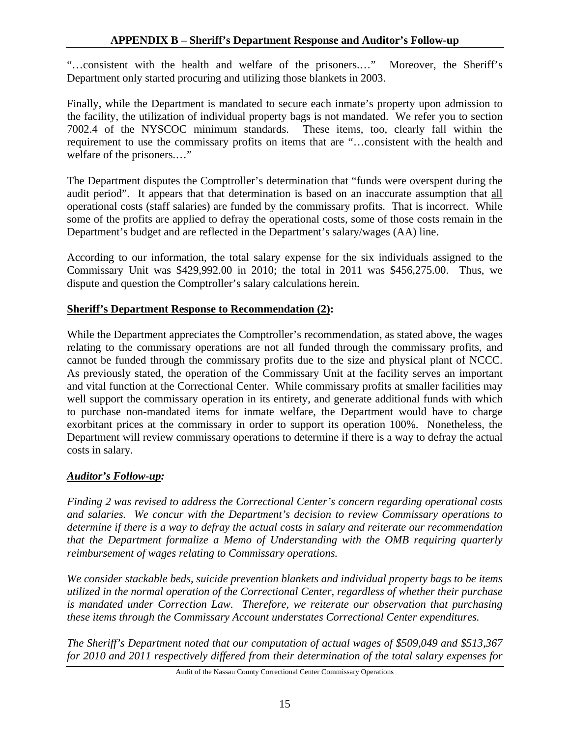"…consistent with the health and welfare of the prisoners.…" Moreover, the Sheriff's Department only started procuring and utilizing those blankets in 2003.

Finally, while the Department is mandated to secure each inmate's property upon admission to the facility, the utilization of individual property bags is not mandated. We refer you to section 7002.4 of the NYSCOC minimum standards. These items, too, clearly fall within the requirement to use the commissary profits on items that are "…consistent with the health and welfare of the prisoners.…"

The Department disputes the Comptroller's determination that "funds were overspent during the audit period". It appears that that determination is based on an inaccurate assumption that all operational costs (staff salaries) are funded by the commissary profits. That is incorrect. While some of the profits are applied to defray the operational costs, some of those costs remain in the Department's budget and are reflected in the Department's salary/wages (AA) line.

According to our information, the total salary expense for the six individuals assigned to the Commissary Unit was \$429,992.00 in 2010; the total in 2011 was \$456,275.00. Thus, we dispute and question the Comptroller's salary calculations herein*.* 

## **Sheriff's Department Response to Recommendation (2):**

While the Department appreciates the Comptroller's recommendation, as stated above, the wages relating to the commissary operations are not all funded through the commissary profits, and cannot be funded through the commissary profits due to the size and physical plant of NCCC. As previously stated, the operation of the Commissary Unit at the facility serves an important and vital function at the Correctional Center. While commissary profits at smaller facilities may well support the commissary operation in its entirety, and generate additional funds with which to purchase non-mandated items for inmate welfare, the Department would have to charge exorbitant prices at the commissary in order to support its operation 100%. Nonetheless, the Department will review commissary operations to determine if there is a way to defray the actual costs in salary.

## *Auditor's Follow-up:*

*Finding 2 was revised to address the Correctional Center's concern regarding operational costs and salaries. We concur with the Department's decision to review Commissary operations to determine if there is a way to defray the actual costs in salary and reiterate our recommendation that the Department formalize a Memo of Understanding with the OMB requiring quarterly reimbursement of wages relating to Commissary operations.* 

*We consider stackable beds, suicide prevention blankets and individual property bags to be items utilized in the normal operation of the Correctional Center, regardless of whether their purchase is mandated under Correction Law. Therefore, we reiterate our observation that purchasing these items through the Commissary Account understates Correctional Center expenditures.* 

*The Sheriff's Department noted that our computation of actual wages of \$509,049 and \$513,367 for 2010 and 2011 respectively differed from their determination of the total salary expenses for*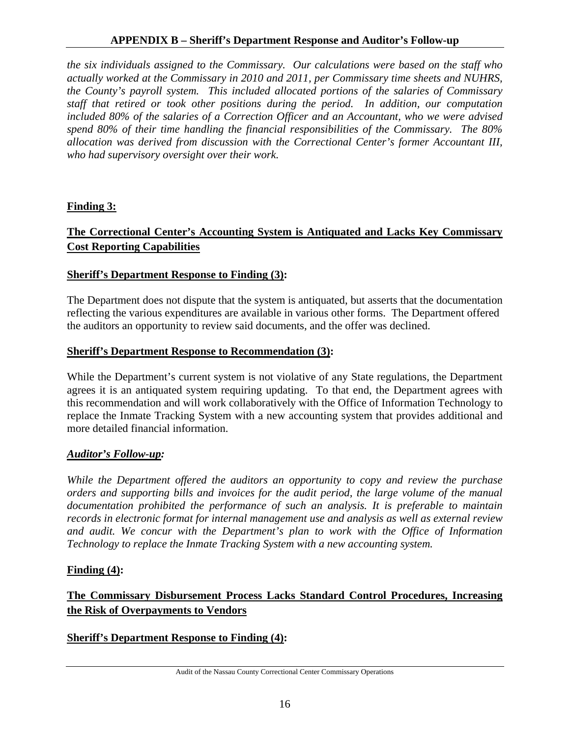#### **APPENDIX B – Sheriff's Department Response and Auditor's Follow-up**

*the six individuals assigned to the Commissary. Our calculations were based on the staff who actually worked at the Commissary in 2010 and 2011, per Commissary time sheets and NUHRS, the County's payroll system. This included allocated portions of the salaries of Commissary staff that retired or took other positions during the period. In addition, our computation included 80% of the salaries of a Correction Officer and an Accountant, who we were advised spend 80% of their time handling the financial responsibilities of the Commissary. The 80% allocation was derived from discussion with the Correctional Center's former Accountant III, who had supervisory oversight over their work.* 

#### **Finding 3:**

## **The Correctional Center's Accounting System is Antiquated and Lacks Key Commissary Cost Reporting Capabilities**

#### **Sheriff's Department Response to Finding (3):**

The Department does not dispute that the system is antiquated, but asserts that the documentation reflecting the various expenditures are available in various other forms. The Department offered the auditors an opportunity to review said documents, and the offer was declined.

#### **Sheriff's Department Response to Recommendation (3):**

While the Department's current system is not violative of any State regulations, the Department agrees it is an antiquated system requiring updating. To that end, the Department agrees with this recommendation and will work collaboratively with the Office of Information Technology to replace the Inmate Tracking System with a new accounting system that provides additional and more detailed financial information.

#### *Auditor's Follow-up:*

*While the Department offered the auditors an opportunity to copy and review the purchase orders and supporting bills and invoices for the audit period, the large volume of the manual documentation prohibited the performance of such an analysis. It is preferable to maintain records in electronic format for internal management use and analysis as well as external review and audit. We concur with the Department's plan to work with the Office of Information Technology to replace the Inmate Tracking System with a new accounting system.* 

#### **Finding (4):**

## **The Commissary Disbursement Process Lacks Standard Control Procedures, Increasing the Risk of Overpayments to Vendors**

#### **Sheriff's Department Response to Finding (4):**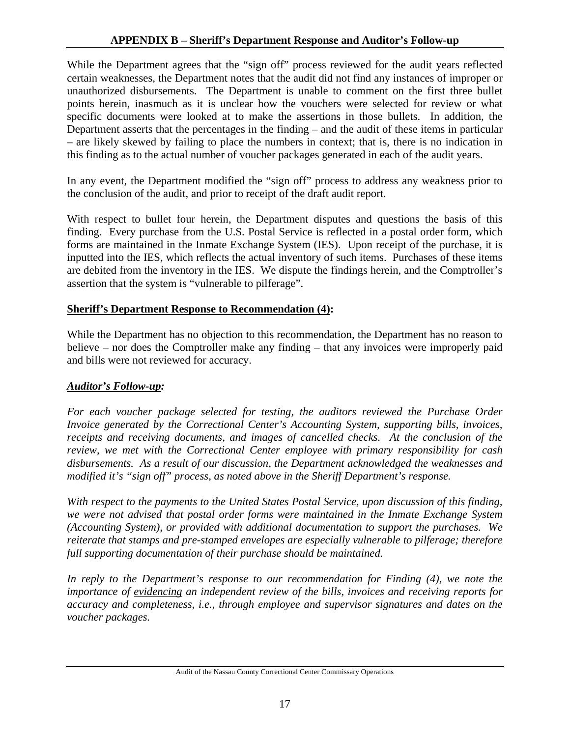While the Department agrees that the "sign off" process reviewed for the audit years reflected certain weaknesses, the Department notes that the audit did not find any instances of improper or unauthorized disbursements. The Department is unable to comment on the first three bullet points herein, inasmuch as it is unclear how the vouchers were selected for review or what specific documents were looked at to make the assertions in those bullets. In addition, the Department asserts that the percentages in the finding – and the audit of these items in particular – are likely skewed by failing to place the numbers in context; that is, there is no indication in this finding as to the actual number of voucher packages generated in each of the audit years.

In any event, the Department modified the "sign off" process to address any weakness prior to the conclusion of the audit, and prior to receipt of the draft audit report.

With respect to bullet four herein, the Department disputes and questions the basis of this finding. Every purchase from the U.S. Postal Service is reflected in a postal order form, which forms are maintained in the Inmate Exchange System (IES). Upon receipt of the purchase, it is inputted into the IES, which reflects the actual inventory of such items. Purchases of these items are debited from the inventory in the IES. We dispute the findings herein, and the Comptroller's assertion that the system is "vulnerable to pilferage".

## **Sheriff's Department Response to Recommendation (4):**

While the Department has no objection to this recommendation, the Department has no reason to believe – nor does the Comptroller make any finding – that any invoices were improperly paid and bills were not reviewed for accuracy.

## *Auditor's Follow-up:*

*For each voucher package selected for testing, the auditors reviewed the Purchase Order Invoice generated by the Correctional Center's Accounting System, supporting bills, invoices, receipts and receiving documents, and images of cancelled checks. At the conclusion of the review, we met with the Correctional Center employee with primary responsibility for cash disbursements. As a result of our discussion, the Department acknowledged the weaknesses and modified it's "sign off" process, as noted above in the Sheriff Department's response.* 

*With respect to the payments to the United States Postal Service, upon discussion of this finding, we were not advised that postal order forms were maintained in the Inmate Exchange System (Accounting System), or provided with additional documentation to support the purchases. We reiterate that stamps and pre-stamped envelopes are especially vulnerable to pilferage; therefore full supporting documentation of their purchase should be maintained.* 

*In reply to the Department's response to our recommendation for Finding (4), we note the importance of evidencing an independent review of the bills, invoices and receiving reports for accuracy and completeness, i.e., through employee and supervisor signatures and dates on the voucher packages.* 

Audit of the Nassau County Correctional Center Commissary Operations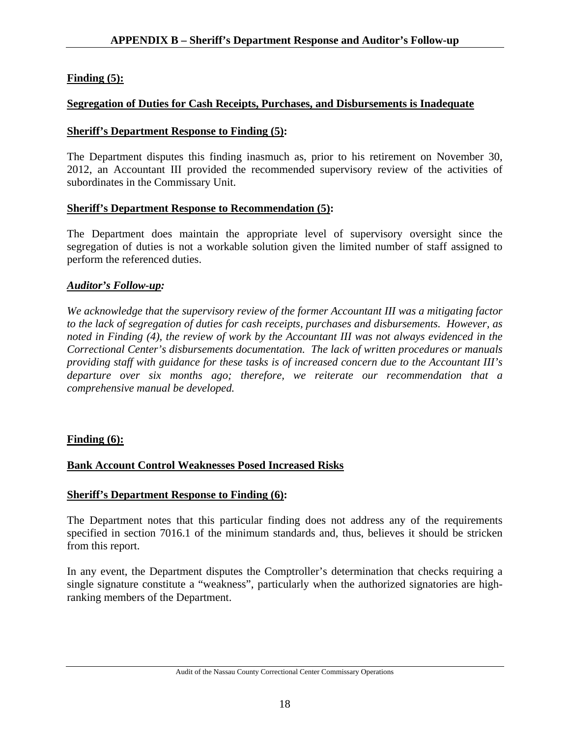## **Finding (5):**

## **Segregation of Duties for Cash Receipts, Purchases, and Disbursements is Inadequate**

### **Sheriff's Department Response to Finding (5):**

The Department disputes this finding inasmuch as, prior to his retirement on November 30, 2012, an Accountant III provided the recommended supervisory review of the activities of subordinates in the Commissary Unit.

#### **Sheriff's Department Response to Recommendation (5):**

The Department does maintain the appropriate level of supervisory oversight since the segregation of duties is not a workable solution given the limited number of staff assigned to perform the referenced duties.

## *Auditor's Follow-up:*

*We acknowledge that the supervisory review of the former Accountant III was a mitigating factor to the lack of segregation of duties for cash receipts, purchases and disbursements. However, as noted in Finding (4), the review of work by the Accountant III was not always evidenced in the Correctional Center's disbursements documentation. The lack of written procedures or manuals providing staff with guidance for these tasks is of increased concern due to the Accountant III's departure over six months ago; therefore, we reiterate our recommendation that a comprehensive manual be developed.* 

## **Finding (6):**

## **Bank Account Control Weaknesses Posed Increased Risks**

#### **Sheriff's Department Response to Finding (6):**

The Department notes that this particular finding does not address any of the requirements specified in section 7016.1 of the minimum standards and, thus, believes it should be stricken from this report.

In any event, the Department disputes the Comptroller's determination that checks requiring a single signature constitute a "weakness", particularly when the authorized signatories are highranking members of the Department.

Audit of the Nassau County Correctional Center Commissary Operations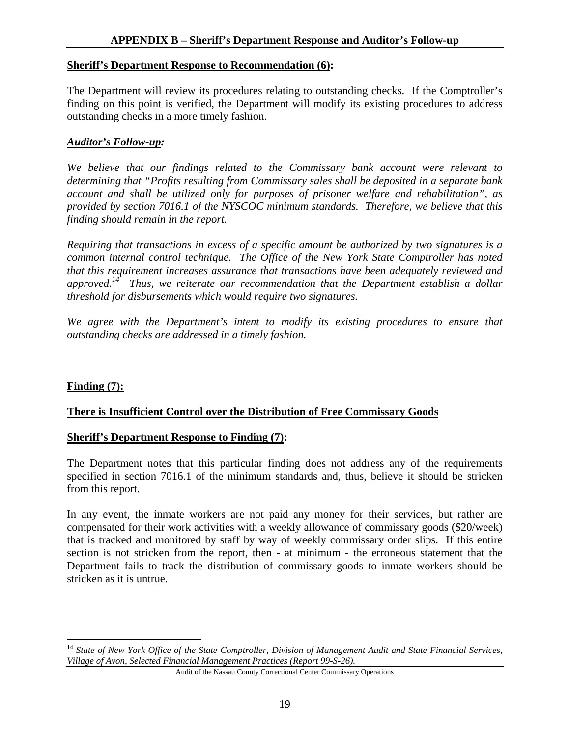#### **Sheriff's Department Response to Recommendation (6):**

The Department will review its procedures relating to outstanding checks. If the Comptroller's finding on this point is verified, the Department will modify its existing procedures to address outstanding checks in a more timely fashion.

#### *Auditor's Follow-up:*

*We believe that our findings related to the Commissary bank account were relevant to determining that "Profits resulting from Commissary sales shall be deposited in a separate bank account and shall be utilized only for purposes of prisoner welfare and rehabilitation", as provided by section 7016.1 of the NYSCOC minimum standards. Therefore, we believe that this finding should remain in the report.* 

*Requiring that transactions in excess of a specific amount be authorized by two signatures is a common internal control technique. The Office of the New York State Comptroller has noted that this requirement increases assurance that transactions have been adequately reviewed and approved.14 Thus, we reiterate our recommendation that the Department establish a dollar threshold for disbursements which would require two signatures.* 

*We agree with the Department's intent to modify its existing procedures to ensure that outstanding checks are addressed in a timely fashion.* 

#### **Finding (7):**

 $\overline{a}$ 

#### **There is Insufficient Control over the Distribution of Free Commissary Goods**

#### **Sheriff's Department Response to Finding (7):**

The Department notes that this particular finding does not address any of the requirements specified in section 7016.1 of the minimum standards and, thus, believe it should be stricken from this report.

In any event, the inmate workers are not paid any money for their services, but rather are compensated for their work activities with a weekly allowance of commissary goods (\$20/week) that is tracked and monitored by staff by way of weekly commissary order slips. If this entire section is not stricken from the report, then - at minimum - the erroneous statement that the Department fails to track the distribution of commissary goods to inmate workers should be stricken as it is untrue.

<sup>&</sup>lt;sup>14</sup> State of New York Office of the State Comptroller, Division of Management Audit and State Financial Services, *Village of Avon, Selected Financial Management Practices (Report 99-S-26).* 

Audit of the Nassau County Correctional Center Commissary Operations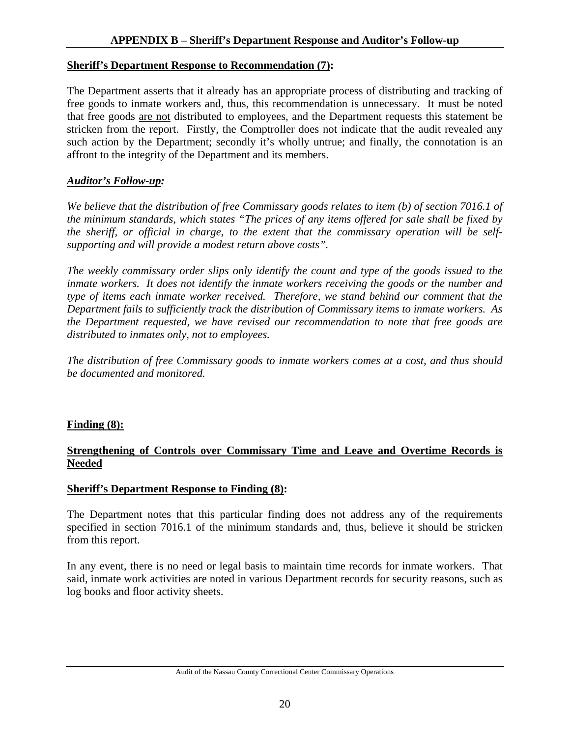#### **Sheriff's Department Response to Recommendation (7):**

The Department asserts that it already has an appropriate process of distributing and tracking of free goods to inmate workers and, thus, this recommendation is unnecessary. It must be noted that free goods are not distributed to employees, and the Department requests this statement be stricken from the report. Firstly, the Comptroller does not indicate that the audit revealed any such action by the Department; secondly it's wholly untrue; and finally, the connotation is an affront to the integrity of the Department and its members.

#### *Auditor's Follow-up:*

*We believe that the distribution of free Commissary goods relates to item (b) of section 7016.1 of the minimum standards, which states "The prices of any items offered for sale shall be fixed by the sheriff, or official in charge, to the extent that the commissary operation will be selfsupporting and will provide a modest return above costs".* 

*The weekly commissary order slips only identify the count and type of the goods issued to the inmate workers. It does not identify the inmate workers receiving the goods or the number and type of items each inmate worker received. Therefore, we stand behind our comment that the Department fails to sufficiently track the distribution of Commissary items to inmate workers. As the Department requested, we have revised our recommendation to note that free goods are distributed to inmates only, not to employees.* 

*The distribution of free Commissary goods to inmate workers comes at a cost, and thus should be documented and monitored.* 

#### **Finding (8):**

#### **Strengthening of Controls over Commissary Time and Leave and Overtime Records is Needed**

#### **Sheriff's Department Response to Finding (8):**

The Department notes that this particular finding does not address any of the requirements specified in section 7016.1 of the minimum standards and, thus, believe it should be stricken from this report.

In any event, there is no need or legal basis to maintain time records for inmate workers. That said, inmate work activities are noted in various Department records for security reasons, such as log books and floor activity sheets.

Audit of the Nassau County Correctional Center Commissary Operations